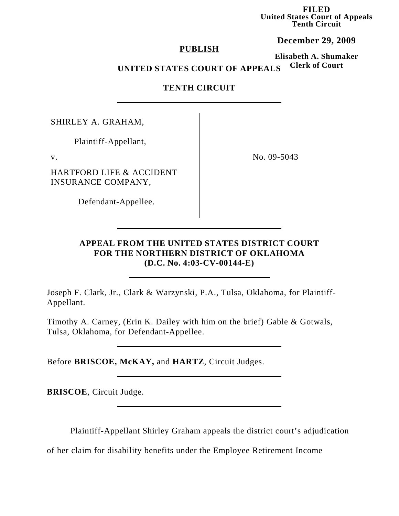**FILED United States Court of Appeals Tenth Circuit**

#### **December 29, 2009**

### **PUBLISH**

**Elisabeth A. Shumaker Clerk of Court**

# **UNITED STATES COURT OF APPEALS**

## **TENTH CIRCUIT**

SHIRLEY A. GRAHAM,

Plaintiff-Appellant,

HARTFORD LIFE & ACCIDENT INSURANCE COMPANY,

v. No. 09-5043

Defendant-Appellee.

## **APPEAL FROM THE UNITED STATES DISTRICT COURT FOR THE NORTHERN DISTRICT OF OKLAHOMA (D.C. No. 4:03-CV-00144-E)**

Joseph F. Clark, Jr., Clark & Warzynski, P.A., Tulsa, Oklahoma, for Plaintiff-Appellant.

Timothy A. Carney, (Erin K. Dailey with him on the brief) Gable & Gotwals, Tulsa, Oklahoma, for Defendant-Appellee.

Before **BRISCOE, McKAY,** and **HARTZ**, Circuit Judges.

**BRISCOE**, Circuit Judge.

Plaintiff-Appellant Shirley Graham appeals the district court's adjudication

of her claim for disability benefits under the Employee Retirement Income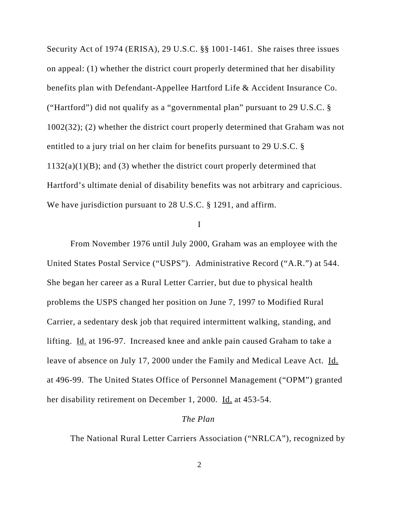Security Act of 1974 (ERISA), 29 U.S.C. §§ 1001-1461. She raises three issues on appeal: (1) whether the district court properly determined that her disability benefits plan with Defendant-Appellee Hartford Life & Accident Insurance Co. ("Hartford") did not qualify as a "governmental plan" pursuant to 29 U.S.C. § 1002(32); (2) whether the district court properly determined that Graham was not entitled to a jury trial on her claim for benefits pursuant to 29 U.S.C. §  $1132(a)(1)(B)$ ; and (3) whether the district court properly determined that Hartford's ultimate denial of disability benefits was not arbitrary and capricious. We have jurisdiction pursuant to 28 U.S.C. § 1291, and affirm.

#### I

From November 1976 until July 2000, Graham was an employee with the United States Postal Service ("USPS"). Administrative Record ("A.R.") at 544. She began her career as a Rural Letter Carrier, but due to physical health problems the USPS changed her position on June 7, 1997 to Modified Rural Carrier, a sedentary desk job that required intermittent walking, standing, and lifting. Id. at 196-97. Increased knee and ankle pain caused Graham to take a leave of absence on July 17, 2000 under the Family and Medical Leave Act. Id. at 496-99. The United States Office of Personnel Management ("OPM") granted her disability retirement on December 1, 2000. Id. at 453-54.

#### *The Plan*

The National Rural Letter Carriers Association ("NRLCA"), recognized by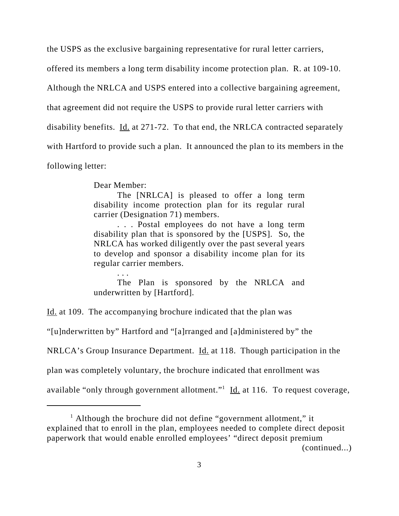the USPS as the exclusive bargaining representative for rural letter carriers,

offered its members a long term disability income protection plan. R. at 109-10.

Although the NRLCA and USPS entered into a collective bargaining agreement,

that agreement did not require the USPS to provide rural letter carriers with

disability benefits. Id. at 271-72. To that end, the NRLCA contracted separately

with Hartford to provide such a plan. It announced the plan to its members in the

following letter:

Dear Member:

. . .

The [NRLCA] is pleased to offer a long term disability income protection plan for its regular rural carrier (Designation 71) members.

. . . Postal employees do not have a long term disability plan that is sponsored by the [USPS]. So, the NRLCA has worked diligently over the past several years to develop and sponsor a disability income plan for its regular carrier members.

The Plan is sponsored by the NRLCA and underwritten by [Hartford].

Id. at 109. The accompanying brochure indicated that the plan was

"[u]nderwritten by" Hartford and "[a]rranged and [a]dministered by" the

NRLCA's Group Insurance Department. Id. at 118. Though participation in the

plan was completely voluntary, the brochure indicated that enrollment was

available "only through government allotment."<sup>1</sup> Id. at 116. To request coverage,

<sup>&</sup>lt;sup>1</sup> Although the brochure did not define "government allotment," it explained that to enroll in the plan, employees needed to complete direct deposit paperwork that would enable enrolled employees' "direct deposit premium (continued...)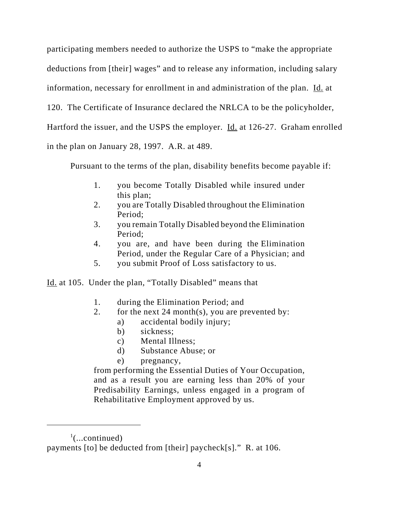participating members needed to authorize the USPS to "make the appropriate deductions from [their] wages" and to release any information, including salary information, necessary for enrollment in and administration of the plan. Id. at 120. The Certificate of Insurance declared the NRLCA to be the policyholder, Hartford the issuer, and the USPS the employer. Id. at 126-27. Graham enrolled in the plan on January 28, 1997. A.R. at 489.

Pursuant to the terms of the plan, disability benefits become payable if:

- 1. you become Totally Disabled while insured under this plan;
- 2. you are Totally Disabled throughout the Elimination Period;
- 3. you remain Totally Disabled beyond the Elimination Period;
- 4. you are, and have been during the Elimination Period, under the Regular Care of a Physician; and
- 5. you submit Proof of Loss satisfactory to us.

Id. at 105. Under the plan, "Totally Disabled" means that

- 1. during the Elimination Period; and
- 2. for the next 24 month(s), you are prevented by:
	- a) accidental bodily injury;
	- b) sickness;
	- c) Mental Illness;
	- d) Substance Abuse; or
	- e) pregnancy,

from performing the Essential Duties of Your Occupation, and as a result you are earning less than 20% of your Predisability Earnings, unless engaged in a program of Rehabilitative Employment approved by us.

 $\cdot$ <sup>1</sup>(...continued)

payments [to] be deducted from [their] paycheck[s]." R. at 106.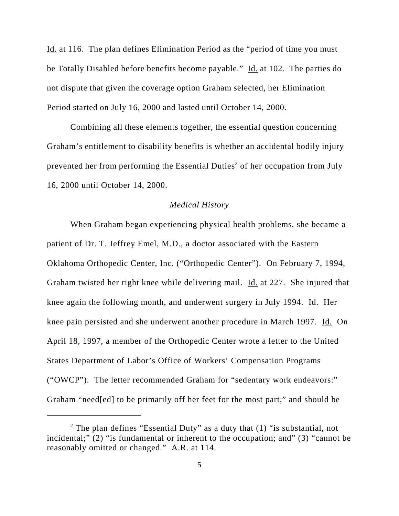Id. at 116. The plan defines Elimination Period as the "period of time you must be Totally Disabled before benefits become payable." Id. at 102. The parties do not dispute that given the coverage option Graham selected, her Elimination Period started on July 16, 2000 and lasted until October 14, 2000.

Combining all these elements together, the essential question concerning Graham's entitlement to disability benefits is whether an accidental bodily injury prevented her from performing the Essential Duties<sup>2</sup> of her occupation from July 16, 2000 until October 14, 2000.

### *Medical History*

When Graham began experiencing physical health problems, she became a patient of Dr. T. Jeffrey Emel, M.D., a doctor associated with the Eastern Oklahoma Orthopedic Center, Inc. ("Orthopedic Center"). On February 7, 1994, Graham twisted her right knee while delivering mail. Id. at 227. She injured that knee again the following month, and underwent surgery in July 1994. Id. Her knee pain persisted and she underwent another procedure in March 1997. Id. On April 18, 1997, a member of the Orthopedic Center wrote a letter to the United States Department of Labor's Office of Workers' Compensation Programs ("OWCP"). The letter recommended Graham for "sedentary work endeavors:" Graham "need[ed] to be primarily off her feet for the most part," and should be

<sup>&</sup>lt;sup>2</sup> The plan defines "Essential Duty" as a duty that  $(1)$  "is substantial, not incidental;" (2) "is fundamental or inherent to the occupation; and" (3) "cannot be reasonably omitted or changed." A.R. at 114.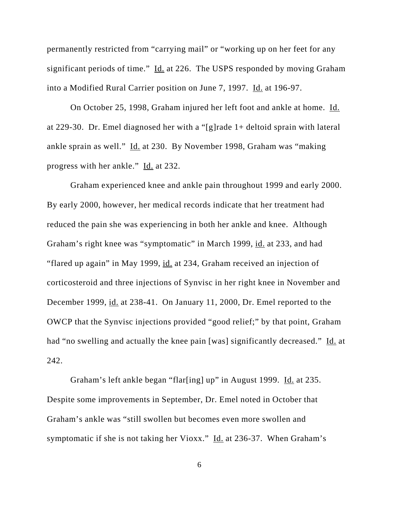permanently restricted from "carrying mail" or "working up on her feet for any significant periods of time." Id. at 226. The USPS responded by moving Graham into a Modified Rural Carrier position on June 7, 1997. Id. at 196-97.

On October 25, 1998, Graham injured her left foot and ankle at home. Id. at 229-30. Dr. Emel diagnosed her with a "[g]rade 1+ deltoid sprain with lateral ankle sprain as well." Id. at 230. By November 1998, Graham was "making progress with her ankle." Id. at 232.

Graham experienced knee and ankle pain throughout 1999 and early 2000. By early 2000, however, her medical records indicate that her treatment had reduced the pain she was experiencing in both her ankle and knee. Although Graham's right knee was "symptomatic" in March 1999, id. at 233, and had "flared up again" in May 1999, id. at 234, Graham received an injection of corticosteroid and three injections of Synvisc in her right knee in November and December 1999, id. at 238-41. On January 11, 2000, Dr. Emel reported to the OWCP that the Synvisc injections provided "good relief;" by that point, Graham had "no swelling and actually the knee pain [was] significantly decreased." Id. at 242.

Graham's left ankle began "flar[ing] up" in August 1999. Id. at 235. Despite some improvements in September, Dr. Emel noted in October that Graham's ankle was "still swollen but becomes even more swollen and symptomatic if she is not taking her Vioxx." Id. at 236-37. When Graham's

6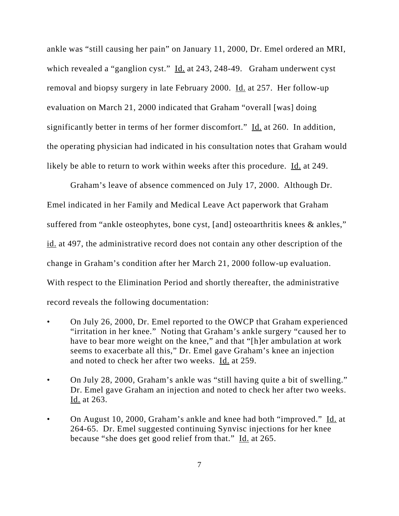ankle was "still causing her pain" on January 11, 2000, Dr. Emel ordered an MRI, which revealed a "ganglion cyst." Id. at 243, 248-49. Graham underwent cyst removal and biopsy surgery in late February 2000. Id. at 257. Her follow-up evaluation on March 21, 2000 indicated that Graham "overall [was] doing significantly better in terms of her former discomfort." Id. at 260. In addition, the operating physician had indicated in his consultation notes that Graham would likely be able to return to work within weeks after this procedure. Id. at 249.

Graham's leave of absence commenced on July 17, 2000. Although Dr. Emel indicated in her Family and Medical Leave Act paperwork that Graham suffered from "ankle osteophytes, bone cyst, [and] osteoarthritis knees & ankles," id. at 497, the administrative record does not contain any other description of the change in Graham's condition after her March 21, 2000 follow-up evaluation. With respect to the Elimination Period and shortly thereafter, the administrative record reveals the following documentation:

- On July 26, 2000, Dr. Emel reported to the OWCP that Graham experienced "irritation in her knee." Noting that Graham's ankle surgery "caused her to have to bear more weight on the knee," and that "[h]er ambulation at work seems to exacerbate all this," Dr. Emel gave Graham's knee an injection and noted to check her after two weeks. Id. at 259.
- On July 28, 2000, Graham's ankle was "still having quite a bit of swelling." Dr. Emel gave Graham an injection and noted to check her after two weeks. Id. at 263.
- On August 10, 2000, Graham's ankle and knee had both "improved." Id. at 264-65. Dr. Emel suggested continuing Synvisc injections for her knee because "she does get good relief from that." Id. at 265.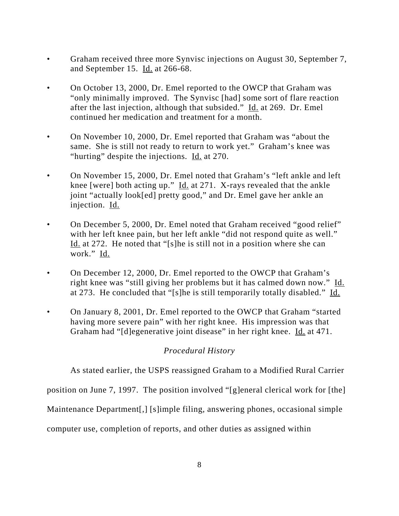- Graham received three more Synvisc injections on August 30, September 7, and September 15. Id. at 266-68.
- On October 13, 2000, Dr. Emel reported to the OWCP that Graham was "only minimally improved. The Synvisc [had] some sort of flare reaction after the last injection, although that subsided." Id. at 269. Dr. Emel continued her medication and treatment for a month.
- On November 10, 2000, Dr. Emel reported that Graham was "about the same. She is still not ready to return to work yet." Graham's knee was "hurting" despite the injections. Id. at 270.
- On November 15, 2000, Dr. Emel noted that Graham's "left ankle and left knee [were] both acting up." Id. at 271. X-rays revealed that the ankle joint "actually look[ed] pretty good," and Dr. Emel gave her ankle an injection. Id.
- On December 5, 2000, Dr. Emel noted that Graham received "good relief" with her left knee pain, but her left ankle "did not respond quite as well." Id. at 272. He noted that "[s]he is still not in a position where she can work." Id.
- On December 12, 2000, Dr. Emel reported to the OWCP that Graham's right knee was "still giving her problems but it has calmed down now." Id. at 273. He concluded that "[s]he is still temporarily totally disabled." Id.
- On January 8, 2001, Dr. Emel reported to the OWCP that Graham "started" having more severe pain" with her right knee. His impression was that Graham had "[d]egenerative joint disease" in her right knee. Id. at 471.

# *Procedural History*

As stated earlier, the USPS reassigned Graham to a Modified Rural Carrier

position on June 7, 1997. The position involved "[g]eneral clerical work for [the]

Maintenance Department[,] [s]imple filing, answering phones, occasional simple

computer use, completion of reports, and other duties as assigned within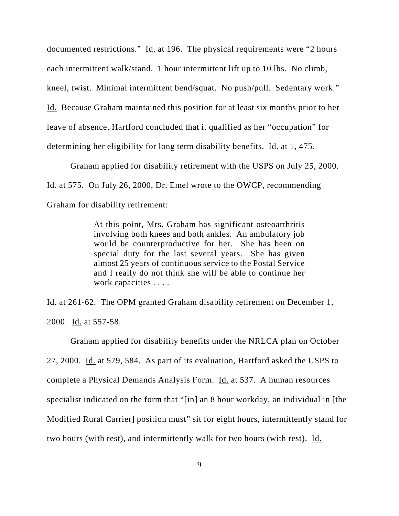documented restrictions." Id. at 196. The physical requirements were "2 hours" each intermittent walk/stand. 1 hour intermittent lift up to 10 lbs. No climb, kneel, twist. Minimal intermittent bend/squat. No push/pull. Sedentary work." Id. Because Graham maintained this position for at least six months prior to her leave of absence, Hartford concluded that it qualified as her "occupation" for determining her eligibility for long term disability benefits. Id. at 1, 475.

Graham applied for disability retirement with the USPS on July 25, 2000. Id. at 575. On July 26, 2000, Dr. Emel wrote to the OWCP, recommending Graham for disability retirement:

> At this point, Mrs. Graham has significant osteoarthritis involving both knees and both ankles. An ambulatory job would be counterproductive for her. She has been on special duty for the last several years. She has given almost 25 years of continuous service to the Postal Service and I really do not think she will be able to continue her work capacities . . . .

Id. at 261-62. The OPM granted Graham disability retirement on December 1, 2000. Id. at 557-58.

Graham applied for disability benefits under the NRLCA plan on October 27, 2000. Id. at 579, 584. As part of its evaluation, Hartford asked the USPS to complete a Physical Demands Analysis Form. Id. at 537. A human resources specialist indicated on the form that "[in] an 8 hour workday, an individual in [the Modified Rural Carrier] position must" sit for eight hours, intermittently stand for two hours (with rest), and intermittently walk for two hours (with rest). Id.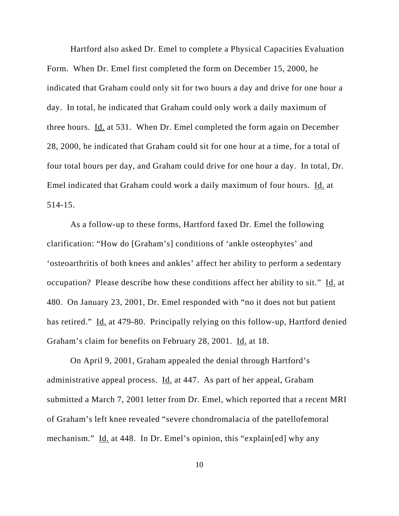Hartford also asked Dr. Emel to complete a Physical Capacities Evaluation Form. When Dr. Emel first completed the form on December 15, 2000, he indicated that Graham could only sit for two hours a day and drive for one hour a day. In total, he indicated that Graham could only work a daily maximum of three hours. Id. at 531. When Dr. Emel completed the form again on December 28, 2000, he indicated that Graham could sit for one hour at a time, for a total of four total hours per day, and Graham could drive for one hour a day. In total, Dr. Emel indicated that Graham could work a daily maximum of four hours. Id. at 514-15.

As a follow-up to these forms, Hartford faxed Dr. Emel the following clarification: "How do [Graham's] conditions of 'ankle osteophytes' and 'osteoarthritis of both knees and ankles' affect her ability to perform a sedentary occupation? Please describe how these conditions affect her ability to sit." Id. at 480. On January 23, 2001, Dr. Emel responded with "no it does not but patient has retired." Id. at 479-80. Principally relying on this follow-up, Hartford denied Graham's claim for benefits on February 28, 2001. Id. at 18.

On April 9, 2001, Graham appealed the denial through Hartford's administrative appeal process. Id. at 447. As part of her appeal, Graham submitted a March 7, 2001 letter from Dr. Emel, which reported that a recent MRI of Graham's left knee revealed "severe chondromalacia of the patellofemoral mechanism." Id. at 448. In Dr. Emel's opinion, this "explain[ed] why any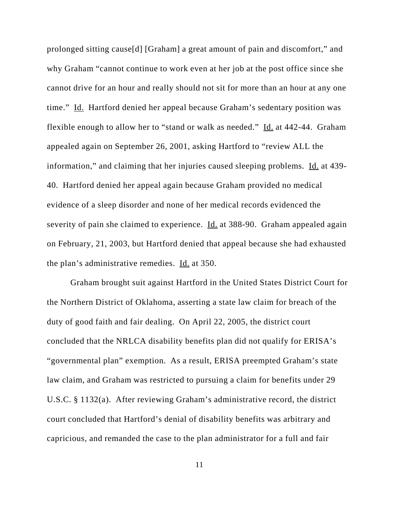prolonged sitting cause[d] [Graham] a great amount of pain and discomfort," and why Graham "cannot continue to work even at her job at the post office since she cannot drive for an hour and really should not sit for more than an hour at any one time." Id. Hartford denied her appeal because Graham's sedentary position was flexible enough to allow her to "stand or walk as needed." Id. at 442-44. Graham appealed again on September 26, 2001, asking Hartford to "review ALL the information," and claiming that her injuries caused sleeping problems. Id. at 439-40. Hartford denied her appeal again because Graham provided no medical evidence of a sleep disorder and none of her medical records evidenced the severity of pain she claimed to experience. Id. at 388-90. Graham appealed again on February, 21, 2003, but Hartford denied that appeal because she had exhausted the plan's administrative remedies. Id. at 350.

Graham brought suit against Hartford in the United States District Court for the Northern District of Oklahoma, asserting a state law claim for breach of the duty of good faith and fair dealing. On April 22, 2005, the district court concluded that the NRLCA disability benefits plan did not qualify for ERISA's "governmental plan" exemption. As a result, ERISA preempted Graham's state law claim, and Graham was restricted to pursuing a claim for benefits under 29 U.S.C. § 1132(a). After reviewing Graham's administrative record, the district court concluded that Hartford's denial of disability benefits was arbitrary and capricious, and remanded the case to the plan administrator for a full and fair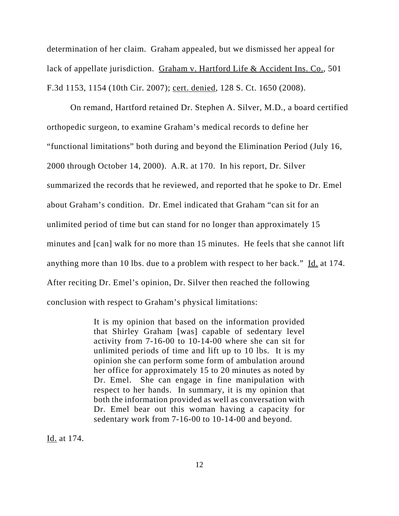determination of her claim. Graham appealed, but we dismissed her appeal for lack of appellate jurisdiction. Graham v. Hartford Life & Accident Ins. Co., 501 F.3d 1153, 1154 (10th Cir. 2007); cert. denied, 128 S. Ct. 1650 (2008).

On remand, Hartford retained Dr. Stephen A. Silver, M.D., a board certified orthopedic surgeon, to examine Graham's medical records to define her "functional limitations" both during and beyond the Elimination Period (July 16, 2000 through October 14, 2000). A.R. at 170. In his report, Dr. Silver summarized the records that he reviewed, and reported that he spoke to Dr. Emel about Graham's condition. Dr. Emel indicated that Graham "can sit for an unlimited period of time but can stand for no longer than approximately 15 minutes and [can] walk for no more than 15 minutes. He feels that she cannot lift anything more than 10 lbs. due to a problem with respect to her back." Id. at 174. After reciting Dr. Emel's opinion, Dr. Silver then reached the following conclusion with respect to Graham's physical limitations:

> It is my opinion that based on the information provided that Shirley Graham [was] capable of sedentary level activity from 7-16-00 to 10-14-00 where she can sit for unlimited periods of time and lift up to 10 lbs. It is my opinion she can perform some form of ambulation around her office for approximately 15 to 20 minutes as noted by Dr. Emel. She can engage in fine manipulation with respect to her hands. In summary, it is my opinion that both the information provided as well as conversation with Dr. Emel bear out this woman having a capacity for sedentary work from 7-16-00 to 10-14-00 and beyond.

Id. at 174.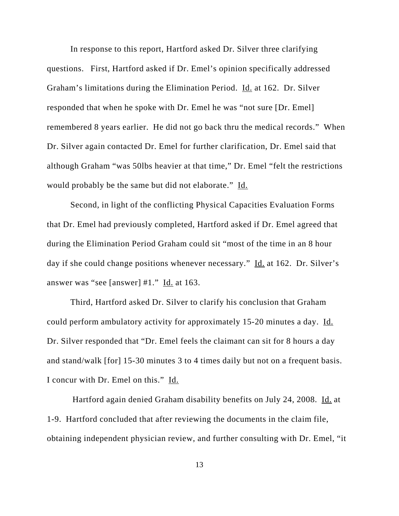In response to this report, Hartford asked Dr. Silver three clarifying questions. First, Hartford asked if Dr. Emel's opinion specifically addressed Graham's limitations during the Elimination Period. Id. at 162. Dr. Silver responded that when he spoke with Dr. Emel he was "not sure [Dr. Emel] remembered 8 years earlier. He did not go back thru the medical records." When Dr. Silver again contacted Dr. Emel for further clarification, Dr. Emel said that although Graham "was 50lbs heavier at that time," Dr. Emel "felt the restrictions would probably be the same but did not elaborate." Id.

Second, in light of the conflicting Physical Capacities Evaluation Forms that Dr. Emel had previously completed, Hartford asked if Dr. Emel agreed that during the Elimination Period Graham could sit "most of the time in an 8 hour day if she could change positions whenever necessary." Id. at 162. Dr. Silver's answer was "see [answer]  $#1."$  Id. at 163.

Third, Hartford asked Dr. Silver to clarify his conclusion that Graham could perform ambulatory activity for approximately 15-20 minutes a day. Id. Dr. Silver responded that "Dr. Emel feels the claimant can sit for 8 hours a day and stand/walk [for] 15-30 minutes 3 to 4 times daily but not on a frequent basis. I concur with Dr. Emel on this." Id.

 Hartford again denied Graham disability benefits on July 24, 2008. Id. at 1-9. Hartford concluded that after reviewing the documents in the claim file, obtaining independent physician review, and further consulting with Dr. Emel, "it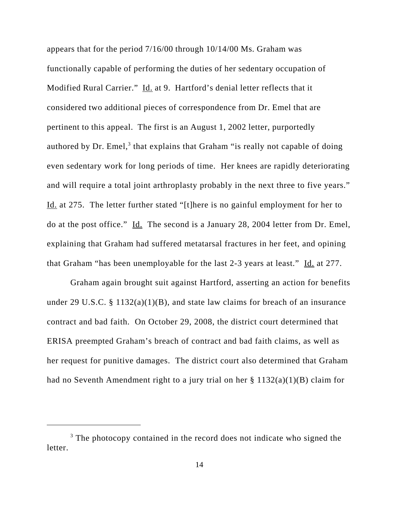appears that for the period 7/16/00 through 10/14/00 Ms. Graham was functionally capable of performing the duties of her sedentary occupation of Modified Rural Carrier." Id. at 9. Hartford's denial letter reflects that it considered two additional pieces of correspondence from Dr. Emel that are pertinent to this appeal. The first is an August 1, 2002 letter, purportedly authored by Dr. Emel, $3$  that explains that Graham "is really not capable of doing even sedentary work for long periods of time. Her knees are rapidly deteriorating and will require a total joint arthroplasty probably in the next three to five years." Id. at 275. The letter further stated "[t]here is no gainful employment for her to do at the post office." Id. The second is a January 28, 2004 letter from Dr. Emel, explaining that Graham had suffered metatarsal fractures in her feet, and opining that Graham "has been unemployable for the last 2-3 years at least." Id. at 277.

Graham again brought suit against Hartford, asserting an action for benefits under 29 U.S.C. § 1132(a)(1)(B), and state law claims for breach of an insurance contract and bad faith. On October 29, 2008, the district court determined that ERISA preempted Graham's breach of contract and bad faith claims, as well as her request for punitive damages. The district court also determined that Graham had no Seventh Amendment right to a jury trial on her § 1132(a)(1)(B) claim for

<sup>&</sup>lt;sup>3</sup> The photocopy contained in the record does not indicate who signed the letter.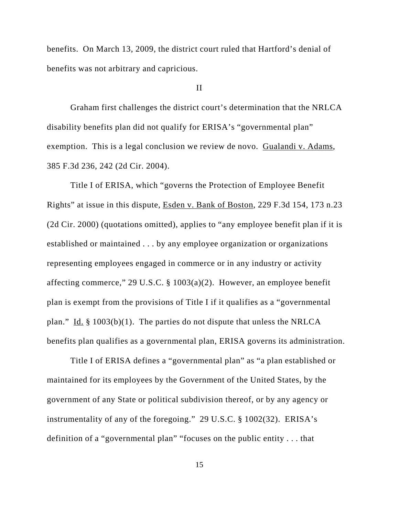benefits. On March 13, 2009, the district court ruled that Hartford's denial of benefits was not arbitrary and capricious.

#### II

Graham first challenges the district court's determination that the NRLCA disability benefits plan did not qualify for ERISA's "governmental plan" exemption. This is a legal conclusion we review de novo. Gualandi v. Adams, 385 F.3d 236, 242 (2d Cir. 2004).

Title I of ERISA, which "governs the Protection of Employee Benefit Rights" at issue in this dispute, Esden v. Bank of Boston, 229 F.3d 154, 173 n.23 (2d Cir. 2000) (quotations omitted), applies to "any employee benefit plan if it is established or maintained . . . by any employee organization or organizations representing employees engaged in commerce or in any industry or activity affecting commerce," 29 U.S.C. § 1003(a)(2). However, an employee benefit plan is exempt from the provisions of Title I if it qualifies as a "governmental plan." Id.  $\S$  1003(b)(1). The parties do not dispute that unless the NRLCA benefits plan qualifies as a governmental plan, ERISA governs its administration.

Title I of ERISA defines a "governmental plan" as "a plan established or maintained for its employees by the Government of the United States, by the government of any State or political subdivision thereof, or by any agency or instrumentality of any of the foregoing." 29 U.S.C. § 1002(32). ERISA's definition of a "governmental plan" "focuses on the public entity . . . that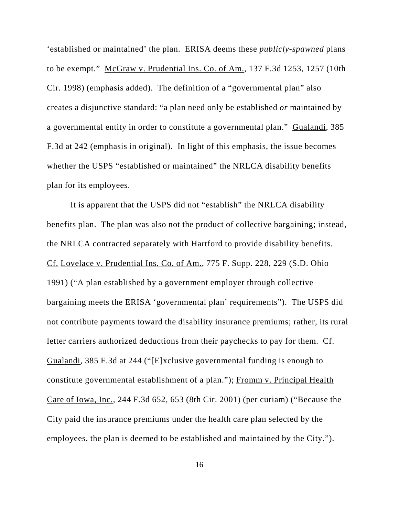'established or maintained' the plan. ERISA deems these *publicly-spawned* plans to be exempt." McGraw v. Prudential Ins. Co. of Am., 137 F.3d 1253, 1257 (10th Cir. 1998) (emphasis added). The definition of a "governmental plan" also creates a disjunctive standard: "a plan need only be established *or* maintained by a governmental entity in order to constitute a governmental plan." Gualandi, 385 F.3d at 242 (emphasis in original). In light of this emphasis, the issue becomes whether the USPS "established or maintained" the NRLCA disability benefits plan for its employees.

It is apparent that the USPS did not "establish" the NRLCA disability benefits plan. The plan was also not the product of collective bargaining; instead, the NRLCA contracted separately with Hartford to provide disability benefits. Cf. Lovelace v. Prudential Ins. Co. of Am., 775 F. Supp. 228, 229 (S.D. Ohio 1991) ("A plan established by a government employer through collective bargaining meets the ERISA 'governmental plan' requirements"). The USPS did not contribute payments toward the disability insurance premiums; rather, its rural letter carriers authorized deductions from their paychecks to pay for them. Cf. Gualandi, 385 F.3d at 244 ("[E]xclusive governmental funding is enough to constitute governmental establishment of a plan."); Fromm v. Principal Health Care of Iowa, Inc., 244 F.3d 652, 653 (8th Cir. 2001) (per curiam) ("Because the City paid the insurance premiums under the health care plan selected by the employees, the plan is deemed to be established and maintained by the City.").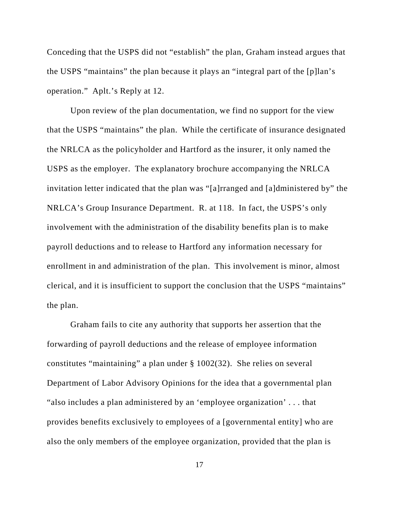Conceding that the USPS did not "establish" the plan, Graham instead argues that the USPS "maintains" the plan because it plays an "integral part of the [p]lan's operation." Aplt.'s Reply at 12.

Upon review of the plan documentation, we find no support for the view that the USPS "maintains" the plan. While the certificate of insurance designated the NRLCA as the policyholder and Hartford as the insurer, it only named the USPS as the employer. The explanatory brochure accompanying the NRLCA invitation letter indicated that the plan was "[a]rranged and [a]dministered by" the NRLCA's Group Insurance Department. R. at 118. In fact, the USPS's only involvement with the administration of the disability benefits plan is to make payroll deductions and to release to Hartford any information necessary for enrollment in and administration of the plan. This involvement is minor, almost clerical, and it is insufficient to support the conclusion that the USPS "maintains" the plan.

Graham fails to cite any authority that supports her assertion that the forwarding of payroll deductions and the release of employee information constitutes "maintaining" a plan under § 1002(32). She relies on several Department of Labor Advisory Opinions for the idea that a governmental plan "also includes a plan administered by an 'employee organization' . . . that provides benefits exclusively to employees of a [governmental entity] who are also the only members of the employee organization, provided that the plan is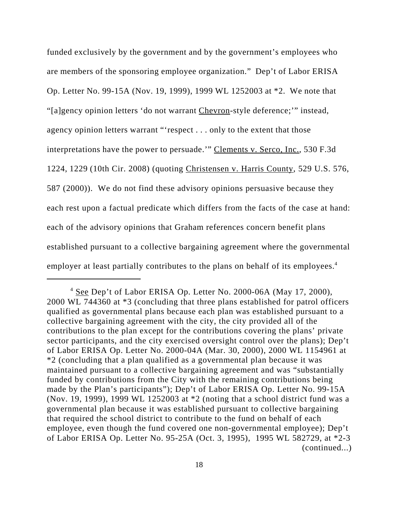funded exclusively by the government and by the government's employees who are members of the sponsoring employee organization." Dep't of Labor ERISA Op. Letter No. 99-15A (Nov. 19, 1999), 1999 WL 1252003 at \*2. We note that "[a]gency opinion letters 'do not warrant Chevron-style deference;" instead, agency opinion letters warrant "'respect . . . only to the extent that those interpretations have the power to persuade.'" Clements v. Serco, Inc., 530 F.3d 1224, 1229 (10th Cir. 2008) (quoting Christensen v. Harris County, 529 U.S. 576, 587 (2000)). We do not find these advisory opinions persuasive because they each rest upon a factual predicate which differs from the facts of the case at hand: each of the advisory opinions that Graham references concern benefit plans established pursuant to a collective bargaining agreement where the governmental employer at least partially contributes to the plans on behalf of its employees.<sup>4</sup>

 $4$  See Dep't of Labor ERISA Op. Letter No. 2000-06A (May 17, 2000), 2000 WL 744360 at \*3 (concluding that three plans established for patrol officers qualified as governmental plans because each plan was established pursuant to a collective bargaining agreement with the city, the city provided all of the contributions to the plan except for the contributions covering the plans' private sector participants, and the city exercised oversight control over the plans); Dep't of Labor ERISA Op. Letter No. 2000-04A (Mar. 30, 2000), 2000 WL 1154961 at \*2 (concluding that a plan qualified as a governmental plan because it was maintained pursuant to a collective bargaining agreement and was "substantially funded by contributions from the City with the remaining contributions being made by the Plan's participants"); Dep't of Labor ERISA Op. Letter No. 99-15A (Nov. 19, 1999), 1999 WL 1252003 at \*2 (noting that a school district fund was a governmental plan because it was established pursuant to collective bargaining that required the school district to contribute to the fund on behalf of each employee, even though the fund covered one non-governmental employee); Dep't of Labor ERISA Op. Letter No. 95-25A (Oct. 3, 1995), 1995 WL 582729, at \*2-3 (continued...)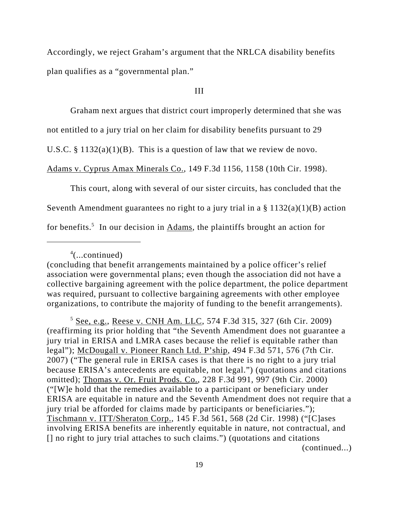Accordingly, we reject Graham's argument that the NRLCA disability benefits plan qualifies as a "governmental plan."

## III

Graham next argues that district court improperly determined that she was

not entitled to a jury trial on her claim for disability benefits pursuant to 29

U.S.C. §  $1132(a)(1)(B)$ . This is a question of law that we review de novo.

Adams v. Cyprus Amax Minerals Co., 149 F.3d 1156, 1158 (10th Cir. 1998).

This court, along with several of our sister circuits, has concluded that the

Seventh Amendment guarantees no right to a jury trial in a  $\S$  1132(a)(1)(B) action

for benefits.<sup>5</sup> In our decision in Adams, the plaintiffs brought an action for

4 (...continued)

 $5$  See, e.g., Reese v. CNH Am. LLC, 574 F.3d 315, 327 (6th Cir. 2009) (reaffirming its prior holding that "the Seventh Amendment does not guarantee a jury trial in ERISA and LMRA cases because the relief is equitable rather than legal"); McDougall v. Pioneer Ranch Ltd. P'ship, 494 F.3d 571, 576 (7th Cir. 2007) ("The general rule in ERISA cases is that there is no right to a jury trial because ERISA's antecedents are equitable, not legal.") (quotations and citations omitted); Thomas v. Or. Fruit Prods. Co., 228 F.3d 991, 997 (9th Cir. 2000) ("[W]e hold that the remedies available to a participant or beneficiary under ERISA are equitable in nature and the Seventh Amendment does not require that a jury trial be afforded for claims made by participants or beneficiaries."); Tischmann v. ITT/Sheraton Corp., 145 F.3d 561, 568 (2d Cir. 1998) ("[C]ases involving ERISA benefits are inherently equitable in nature, not contractual, and [] no right to jury trial attaches to such claims.") (quotations and citations (continued...)

<sup>(</sup>concluding that benefit arrangements maintained by a police officer's relief association were governmental plans; even though the association did not have a collective bargaining agreement with the police department, the police department was required, pursuant to collective bargaining agreements with other employee organizations, to contribute the majority of funding to the benefit arrangements).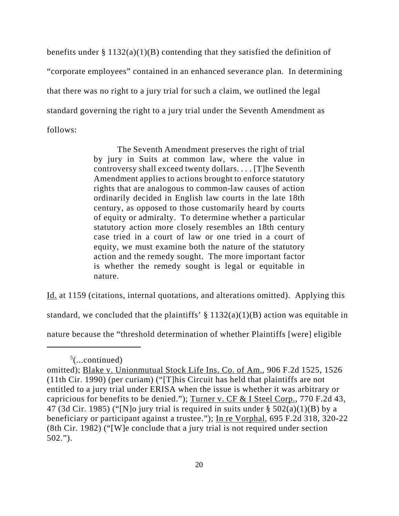benefits under § 1132(a)(1)(B) contending that they satisfied the definition of "corporate employees" contained in an enhanced severance plan. In determining that there was no right to a jury trial for such a claim, we outlined the legal standard governing the right to a jury trial under the Seventh Amendment as follows:

> The Seventh Amendment preserves the right of trial by jury in Suits at common law, where the value in controversy shall exceed twenty dollars. . . . [T]he Seventh Amendment applies to actions brought to enforce statutory rights that are analogous to common-law causes of action ordinarily decided in English law courts in the late 18th century, as opposed to those customarily heard by courts of equity or admiralty. To determine whether a particular statutory action more closely resembles an 18th century case tried in a court of law or one tried in a court of equity, we must examine both the nature of the statutory action and the remedy sought. The more important factor is whether the remedy sought is legal or equitable in nature.

Id. at 1159 (citations, internal quotations, and alterations omitted). Applying this

standard, we concluded that the plaintiffs'  $\S 1132(a)(1)(B)$  action was equitable in

nature because the "threshold determination of whether Plaintiffs [were] eligible

 $5$ (...continued)

omitted); Blake v. Unionmutual Stock Life Ins. Co. of Am., 906 F.2d 1525, 1526 (11th Cir. 1990) (per curiam) ("[T]his Circuit has held that plaintiffs are not entitled to a jury trial under ERISA when the issue is whether it was arbitrary or capricious for benefits to be denied."); Turner v. CF & I Steel Corp., 770 F.2d 43, 47 (3d Cir. 1985) ("[N]o jury trial is required in suits under  $\S$  502(a)(1)(B) by a beneficiary or participant against a trustee."); In re Vorphal, 695 F.2d 318, 320-22 (8th Cir. 1982) ("[W]e conclude that a jury trial is not required under section 502.").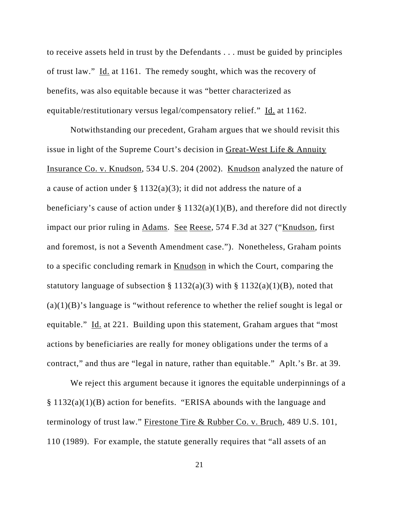to receive assets held in trust by the Defendants . . . must be guided by principles of trust law." Id. at 1161. The remedy sought, which was the recovery of benefits, was also equitable because it was "better characterized as equitable/restitutionary versus legal/compensatory relief." Id. at 1162.

Notwithstanding our precedent, Graham argues that we should revisit this issue in light of the Supreme Court's decision in Great-West Life & Annuity Insurance Co. v. Knudson, 534 U.S. 204 (2002). Knudson analyzed the nature of a cause of action under  $\S 1132(a)(3)$ ; it did not address the nature of a beneficiary's cause of action under  $\S 1132(a)(1)(B)$ , and therefore did not directly impact our prior ruling in Adams. See Reese, 574 F.3d at 327 ("Knudson, first and foremost, is not a Seventh Amendment case."). Nonetheless, Graham points to a specific concluding remark in Knudson in which the Court, comparing the statutory language of subsection § 1132(a)(3) with § 1132(a)(1)(B), noted that  $(a)(1)(B)$ 's language is "without reference to whether the relief sought is legal or equitable." Id. at 221. Building upon this statement, Graham argues that "most actions by beneficiaries are really for money obligations under the terms of a contract," and thus are "legal in nature, rather than equitable." Aplt.'s Br. at 39.

We reject this argument because it ignores the equitable underpinnings of a § 1132(a)(1)(B) action for benefits. "ERISA abounds with the language and terminology of trust law." Firestone Tire & Rubber Co. v. Bruch, 489 U.S. 101, 110 (1989). For example, the statute generally requires that "all assets of an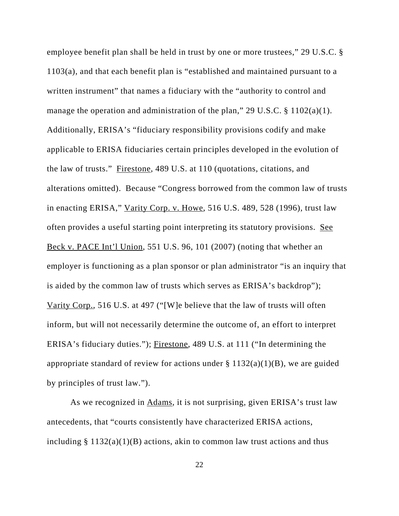employee benefit plan shall be held in trust by one or more trustees," 29 U.S.C. § 1103(a), and that each benefit plan is "established and maintained pursuant to a written instrument" that names a fiduciary with the "authority to control and manage the operation and administration of the plan," 29 U.S.C.  $\S 1102(a)(1)$ . Additionally, ERISA's "fiduciary responsibility provisions codify and make applicable to ERISA fiduciaries certain principles developed in the evolution of the law of trusts." Firestone, 489 U.S. at 110 (quotations, citations, and alterations omitted). Because "Congress borrowed from the common law of trusts in enacting ERISA," Varity Corp. v. Howe, 516 U.S. 489, 528 (1996), trust law often provides a useful starting point interpreting its statutory provisions. See Beck v. PACE Int'l Union, 551 U.S. 96, 101 (2007) (noting that whether an employer is functioning as a plan sponsor or plan administrator "is an inquiry that is aided by the common law of trusts which serves as ERISA's backdrop"); Varity Corp., 516 U.S. at 497 ("[W]e believe that the law of trusts will often inform, but will not necessarily determine the outcome of, an effort to interpret ERISA's fiduciary duties."); Firestone, 489 U.S. at 111 ("In determining the appropriate standard of review for actions under  $\S 1132(a)(1)(B)$ , we are guided by principles of trust law.").

As we recognized in Adams, it is not surprising, given ERISA's trust law antecedents, that "courts consistently have characterized ERISA actions, including  $\S 1132(a)(1)(B)$  actions, akin to common law trust actions and thus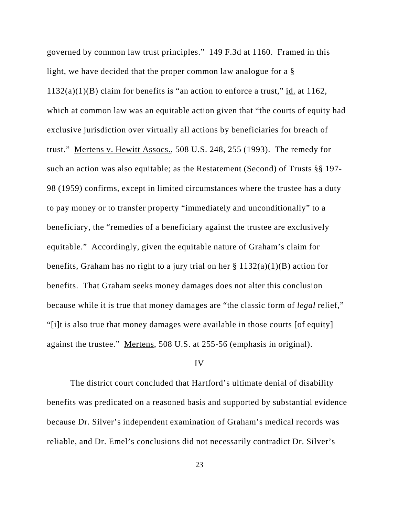governed by common law trust principles." 149 F.3d at 1160. Framed in this light, we have decided that the proper common law analogue for a §  $1132(a)(1)(B)$  claim for benefits is "an action to enforce a trust," id. at 1162, which at common law was an equitable action given that "the courts of equity had exclusive jurisdiction over virtually all actions by beneficiaries for breach of trust." Mertens v. Hewitt Assocs., 508 U.S. 248, 255 (1993). The remedy for such an action was also equitable; as the Restatement (Second) of Trusts §§ 197- 98 (1959) confirms, except in limited circumstances where the trustee has a duty to pay money or to transfer property "immediately and unconditionally" to a beneficiary, the "remedies of a beneficiary against the trustee are exclusively equitable." Accordingly, given the equitable nature of Graham's claim for benefits, Graham has no right to a jury trial on her  $\S 1132(a)(1)(B)$  action for benefits. That Graham seeks money damages does not alter this conclusion because while it is true that money damages are "the classic form of *legal* relief," "[i]t is also true that money damages were available in those courts [of equity] against the trustee." Mertens, 508 U.S. at 255-56 (emphasis in original).

#### IV

The district court concluded that Hartford's ultimate denial of disability benefits was predicated on a reasoned basis and supported by substantial evidence because Dr. Silver's independent examination of Graham's medical records was reliable, and Dr. Emel's conclusions did not necessarily contradict Dr. Silver's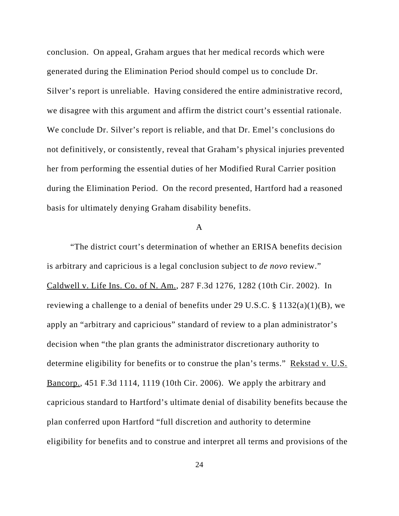conclusion. On appeal, Graham argues that her medical records which were generated during the Elimination Period should compel us to conclude Dr. Silver's report is unreliable. Having considered the entire administrative record, we disagree with this argument and affirm the district court's essential rationale. We conclude Dr. Silver's report is reliable, and that Dr. Emel's conclusions do not definitively, or consistently, reveal that Graham's physical injuries prevented her from performing the essential duties of her Modified Rural Carrier position during the Elimination Period. On the record presented, Hartford had a reasoned basis for ultimately denying Graham disability benefits.

#### A

"The district court's determination of whether an ERISA benefits decision is arbitrary and capricious is a legal conclusion subject to *de novo* review." Caldwell v. Life Ins. Co. of N. Am., 287 F.3d 1276, 1282 (10th Cir. 2002). In reviewing a challenge to a denial of benefits under 29 U.S.C. § 1132(a)(1)(B), we apply an "arbitrary and capricious" standard of review to a plan administrator's decision when "the plan grants the administrator discretionary authority to determine eligibility for benefits or to construe the plan's terms." Rekstad v. U.S. Bancorp., 451 F.3d 1114, 1119 (10th Cir. 2006). We apply the arbitrary and capricious standard to Hartford's ultimate denial of disability benefits because the plan conferred upon Hartford "full discretion and authority to determine eligibility for benefits and to construe and interpret all terms and provisions of the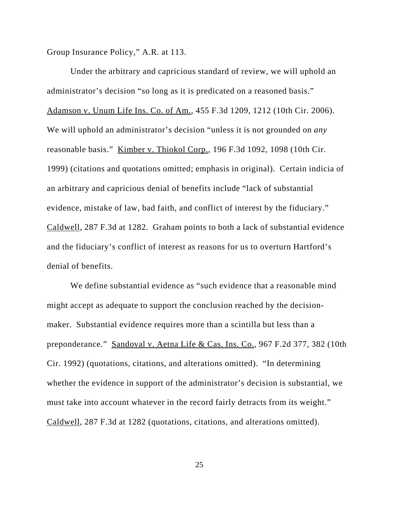Group Insurance Policy," A.R. at 113.

Under the arbitrary and capricious standard of review, we will uphold an administrator's decision "so long as it is predicated on a reasoned basis." Adamson v. Unum Life Ins. Co. of Am., 455 F.3d 1209, 1212 (10th Cir. 2006). We will uphold an administrator's decision "unless it is not grounded on *any* reasonable basis." Kimber v. Thiokol Corp., 196 F.3d 1092, 1098 (10th Cir. 1999) (citations and quotations omitted; emphasis in original). Certain indicia of an arbitrary and capricious denial of benefits include "lack of substantial evidence, mistake of law, bad faith, and conflict of interest by the fiduciary." Caldwell, 287 F.3d at 1282. Graham points to both a lack of substantial evidence and the fiduciary's conflict of interest as reasons for us to overturn Hartford's denial of benefits.

We define substantial evidence as "such evidence that a reasonable mind might accept as adequate to support the conclusion reached by the decisionmaker. Substantial evidence requires more than a scintilla but less than a preponderance." Sandoval v. Aetna Life & Cas. Ins. Co., 967 F.2d 377, 382 (10th Cir. 1992) (quotations, citations, and alterations omitted). "In determining whether the evidence in support of the administrator's decision is substantial, we must take into account whatever in the record fairly detracts from its weight." Caldwell, 287 F.3d at 1282 (quotations, citations, and alterations omitted).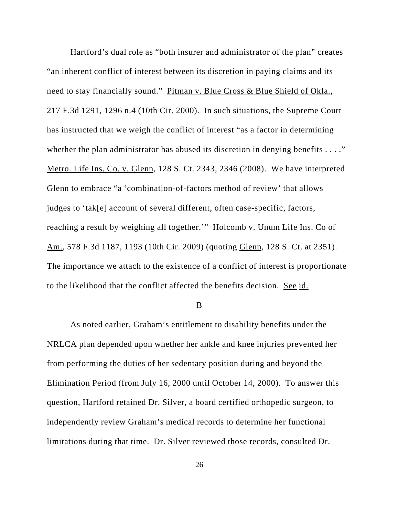Hartford's dual role as "both insurer and administrator of the plan" creates "an inherent conflict of interest between its discretion in paying claims and its need to stay financially sound." Pitman v. Blue Cross & Blue Shield of Okla., 217 F.3d 1291, 1296 n.4 (10th Cir. 2000). In such situations, the Supreme Court has instructed that we weigh the conflict of interest "as a factor in determining whether the plan administrator has abused its discretion in denying benefits . . . ." Metro. Life Ins. Co. v. Glenn, 128 S. Ct. 2343, 2346 (2008). We have interpreted Glenn to embrace "a 'combination-of-factors method of review' that allows judges to 'tak[e] account of several different, often case-specific, factors, reaching a result by weighing all together."" Holcomb v. Unum Life Ins. Co of Am., 578 F.3d 1187, 1193 (10th Cir. 2009) (quoting Glenn, 128 S. Ct. at 2351). The importance we attach to the existence of a conflict of interest is proportionate to the likelihood that the conflict affected the benefits decision. See id.

B

As noted earlier, Graham's entitlement to disability benefits under the NRLCA plan depended upon whether her ankle and knee injuries prevented her from performing the duties of her sedentary position during and beyond the Elimination Period (from July 16, 2000 until October 14, 2000). To answer this question, Hartford retained Dr. Silver, a board certified orthopedic surgeon, to independently review Graham's medical records to determine her functional limitations during that time. Dr. Silver reviewed those records, consulted Dr.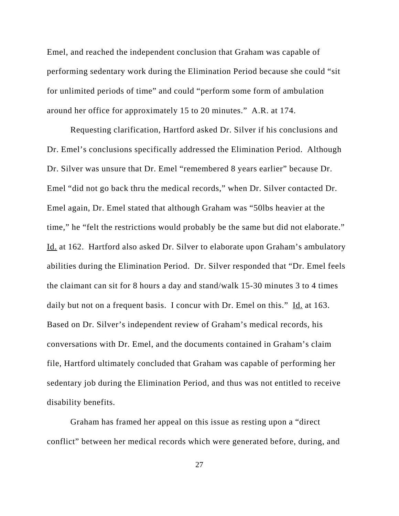Emel, and reached the independent conclusion that Graham was capable of performing sedentary work during the Elimination Period because she could "sit for unlimited periods of time" and could "perform some form of ambulation around her office for approximately 15 to 20 minutes." A.R. at 174.

Requesting clarification, Hartford asked Dr. Silver if his conclusions and Dr. Emel's conclusions specifically addressed the Elimination Period. Although Dr. Silver was unsure that Dr. Emel "remembered 8 years earlier" because Dr. Emel "did not go back thru the medical records," when Dr. Silver contacted Dr. Emel again, Dr. Emel stated that although Graham was "50lbs heavier at the time," he "felt the restrictions would probably be the same but did not elaborate." Id. at 162. Hartford also asked Dr. Silver to elaborate upon Graham's ambulatory abilities during the Elimination Period. Dr. Silver responded that "Dr. Emel feels the claimant can sit for 8 hours a day and stand/walk 15-30 minutes 3 to 4 times daily but not on a frequent basis. I concur with Dr. Emel on this." Id. at 163. Based on Dr. Silver's independent review of Graham's medical records, his conversations with Dr. Emel, and the documents contained in Graham's claim file, Hartford ultimately concluded that Graham was capable of performing her sedentary job during the Elimination Period, and thus was not entitled to receive disability benefits.

Graham has framed her appeal on this issue as resting upon a "direct conflict" between her medical records which were generated before, during, and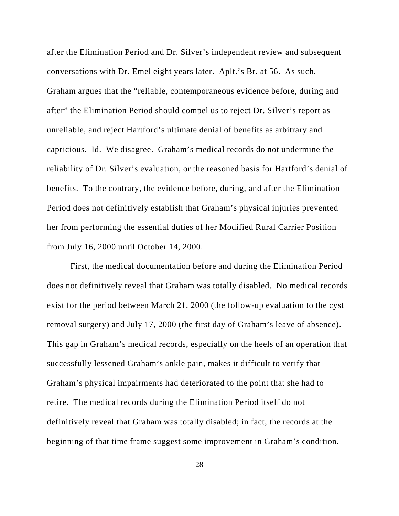after the Elimination Period and Dr. Silver's independent review and subsequent conversations with Dr. Emel eight years later. Aplt.'s Br. at 56. As such, Graham argues that the "reliable, contemporaneous evidence before, during and after" the Elimination Period should compel us to reject Dr. Silver's report as unreliable, and reject Hartford's ultimate denial of benefits as arbitrary and capricious. Id. We disagree. Graham's medical records do not undermine the reliability of Dr. Silver's evaluation, or the reasoned basis for Hartford's denial of benefits. To the contrary, the evidence before, during, and after the Elimination Period does not definitively establish that Graham's physical injuries prevented her from performing the essential duties of her Modified Rural Carrier Position from July 16, 2000 until October 14, 2000.

First, the medical documentation before and during the Elimination Period does not definitively reveal that Graham was totally disabled. No medical records exist for the period between March 21, 2000 (the follow-up evaluation to the cyst removal surgery) and July 17, 2000 (the first day of Graham's leave of absence). This gap in Graham's medical records, especially on the heels of an operation that successfully lessened Graham's ankle pain, makes it difficult to verify that Graham's physical impairments had deteriorated to the point that she had to retire. The medical records during the Elimination Period itself do not definitively reveal that Graham was totally disabled; in fact, the records at the beginning of that time frame suggest some improvement in Graham's condition.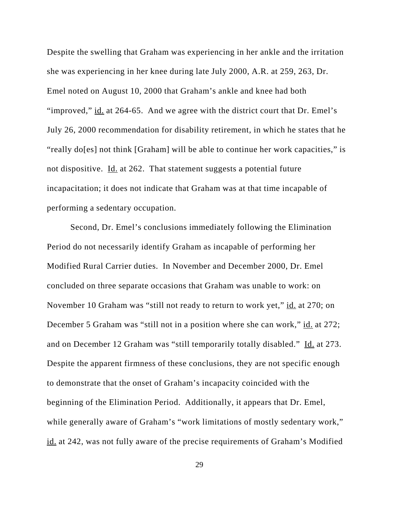Despite the swelling that Graham was experiencing in her ankle and the irritation she was experiencing in her knee during late July 2000, A.R. at 259, 263, Dr. Emel noted on August 10, 2000 that Graham's ankle and knee had both "improved,"  $\underline{\text{id.}}$  at 264-65. And we agree with the district court that Dr. Emel's July 26, 2000 recommendation for disability retirement, in which he states that he "really do[es] not think [Graham] will be able to continue her work capacities," is not dispositive. Id. at 262. That statement suggests a potential future incapacitation; it does not indicate that Graham was at that time incapable of performing a sedentary occupation.

Second, Dr. Emel's conclusions immediately following the Elimination Period do not necessarily identify Graham as incapable of performing her Modified Rural Carrier duties. In November and December 2000, Dr. Emel concluded on three separate occasions that Graham was unable to work: on November 10 Graham was "still not ready to return to work yet," id. at 270; on December 5 Graham was "still not in a position where she can work," id. at 272; and on December 12 Graham was "still temporarily totally disabled." Id. at 273. Despite the apparent firmness of these conclusions, they are not specific enough to demonstrate that the onset of Graham's incapacity coincided with the beginning of the Elimination Period. Additionally, it appears that Dr. Emel, while generally aware of Graham's "work limitations of mostly sedentary work," id. at 242, was not fully aware of the precise requirements of Graham's Modified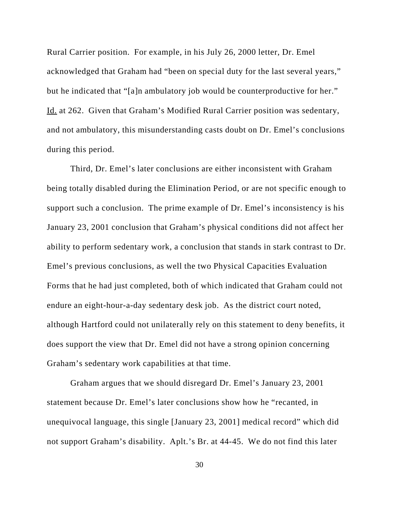Rural Carrier position. For example, in his July 26, 2000 letter, Dr. Emel acknowledged that Graham had "been on special duty for the last several years," but he indicated that "[a]n ambulatory job would be counterproductive for her." Id. at 262. Given that Graham's Modified Rural Carrier position was sedentary, and not ambulatory, this misunderstanding casts doubt on Dr. Emel's conclusions during this period.

Third, Dr. Emel's later conclusions are either inconsistent with Graham being totally disabled during the Elimination Period, or are not specific enough to support such a conclusion. The prime example of Dr. Emel's inconsistency is his January 23, 2001 conclusion that Graham's physical conditions did not affect her ability to perform sedentary work, a conclusion that stands in stark contrast to Dr. Emel's previous conclusions, as well the two Physical Capacities Evaluation Forms that he had just completed, both of which indicated that Graham could not endure an eight-hour-a-day sedentary desk job. As the district court noted, although Hartford could not unilaterally rely on this statement to deny benefits, it does support the view that Dr. Emel did not have a strong opinion concerning Graham's sedentary work capabilities at that time.

Graham argues that we should disregard Dr. Emel's January 23, 2001 statement because Dr. Emel's later conclusions show how he "recanted, in unequivocal language, this single [January 23, 2001] medical record" which did not support Graham's disability. Aplt.'s Br. at 44-45. We do not find this later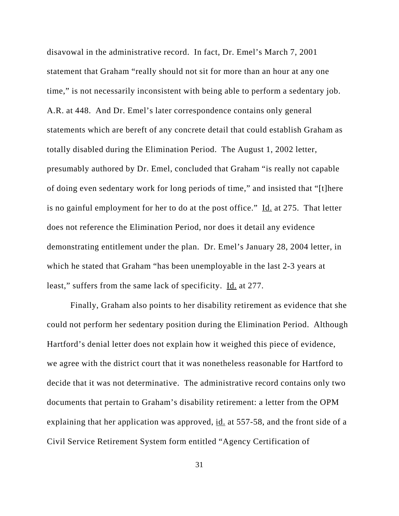disavowal in the administrative record. In fact, Dr. Emel's March 7, 2001 statement that Graham "really should not sit for more than an hour at any one time," is not necessarily inconsistent with being able to perform a sedentary job. A.R. at 448. And Dr. Emel's later correspondence contains only general statements which are bereft of any concrete detail that could establish Graham as totally disabled during the Elimination Period. The August 1, 2002 letter, presumably authored by Dr. Emel, concluded that Graham "is really not capable of doing even sedentary work for long periods of time," and insisted that "[t]here is no gainful employment for her to do at the post office." Id. at 275. That letter does not reference the Elimination Period, nor does it detail any evidence demonstrating entitlement under the plan. Dr. Emel's January 28, 2004 letter, in which he stated that Graham "has been unemployable in the last 2-3 years at least," suffers from the same lack of specificity. Id. at 277.

Finally, Graham also points to her disability retirement as evidence that she could not perform her sedentary position during the Elimination Period. Although Hartford's denial letter does not explain how it weighed this piece of evidence, we agree with the district court that it was nonetheless reasonable for Hartford to decide that it was not determinative. The administrative record contains only two documents that pertain to Graham's disability retirement: a letter from the OPM explaining that her application was approved, <u>id.</u> at 557-58, and the front side of a Civil Service Retirement System form entitled "Agency Certification of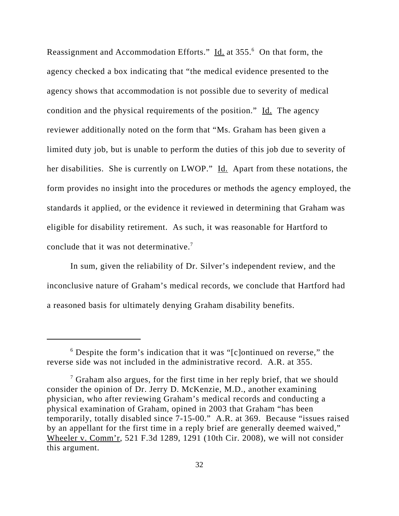Reassignment and Accommodation Efforts." Id. at 355.<sup>6</sup> On that form, the agency checked a box indicating that "the medical evidence presented to the agency shows that accommodation is not possible due to severity of medical condition and the physical requirements of the position." Id. The agency reviewer additionally noted on the form that "Ms. Graham has been given a limited duty job, but is unable to perform the duties of this job due to severity of her disabilities. She is currently on LWOP." Id. Apart from these notations, the form provides no insight into the procedures or methods the agency employed, the standards it applied, or the evidence it reviewed in determining that Graham was eligible for disability retirement. As such, it was reasonable for Hartford to conclude that it was not determinative.<sup>7</sup>

In sum, given the reliability of Dr. Silver's independent review, and the inconclusive nature of Graham's medical records, we conclude that Hartford had a reasoned basis for ultimately denying Graham disability benefits.

<sup>&</sup>lt;sup>6</sup> Despite the form's indication that it was "[c]ontinued on reverse," the reverse side was not included in the administrative record. A.R. at 355.

 $7$  Graham also argues, for the first time in her reply brief, that we should consider the opinion of Dr. Jerry D. McKenzie, M.D., another examining physician, who after reviewing Graham's medical records and conducting a physical examination of Graham, opined in 2003 that Graham "has been temporarily, totally disabled since 7-15-00." A.R. at 369. Because "issues raised by an appellant for the first time in a reply brief are generally deemed waived," Wheeler v. Comm'r, 521 F.3d 1289, 1291 (10th Cir. 2008), we will not consider this argument.